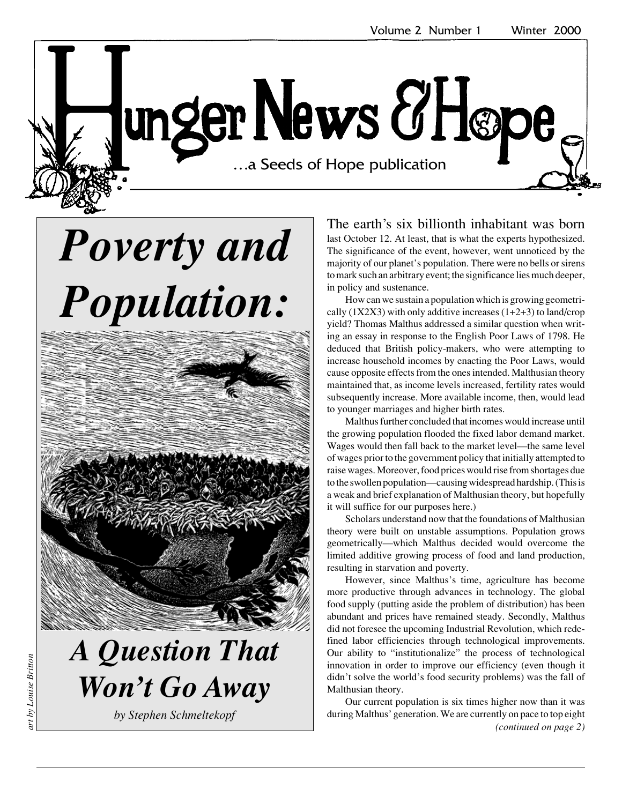unger News & Høpe …a Seeds of Hope publication …a Seeds of Hope publication

# *Poverty and Population:*



## *A Question That Won't Go Away*

*by Stephen Schmeltekopf*

The earth's six billionth inhabitant was born last October 12. At least, that is what the experts hypothesized. The significance of the event, however, went unnoticed by the majority of our planet's population. There were no bells or sirens to mark such an arbitrary event; the significance lies much deeper, in policy and sustenance.

How can we sustain a population which is growing geometrically  $(1X2X3)$  with only additive increases  $(1+2+3)$  to land/crop yield? Thomas Malthus addressed a similar question when writing an essay in response to the English Poor Laws of 1798. He deduced that British policy-makers, who were attempting to increase household incomes by enacting the Poor Laws, would cause opposite effects from the ones intended. Malthusian theory maintained that, as income levels increased, fertility rates would subsequently increase. More available income, then, would lead to younger marriages and higher birth rates.

Malthus further concluded that incomes would increase until the growing population flooded the fixed labor demand market. Wages would then fall back to the market level—the same level of wages prior to the government policy that initially attempted to raise wages. Moreover, food prices would rise from shortages due to the swollen population—causing widespread hardship. (This is a weak and brief explanation of Malthusian theory, but hopefully it will suffice for our purposes here.)

Scholars understand now that the foundations of Malthusian theory were built on unstable assumptions. Population grows geometrically—which Malthus decided would overcome the limited additive growing process of food and land production, resulting in starvation and poverty.

However, since Malthus's time, agriculture has become more productive through advances in technology. The global food supply (putting aside the problem of distribution) has been abundant and prices have remained steady. Secondly, Malthus did not foresee the upcoming Industrial Revolution, which redefined labor efficiencies through technological improvements. Our ability to "institutionalize" the process of technological innovation in order to improve our efficiency (even though it didn't solve the world's food security problems) was the fall of Malthusian theory.

Our current population is six times higher now than it was during Malthus' generation. We are currently on pace to top eight *(continued on page 2)*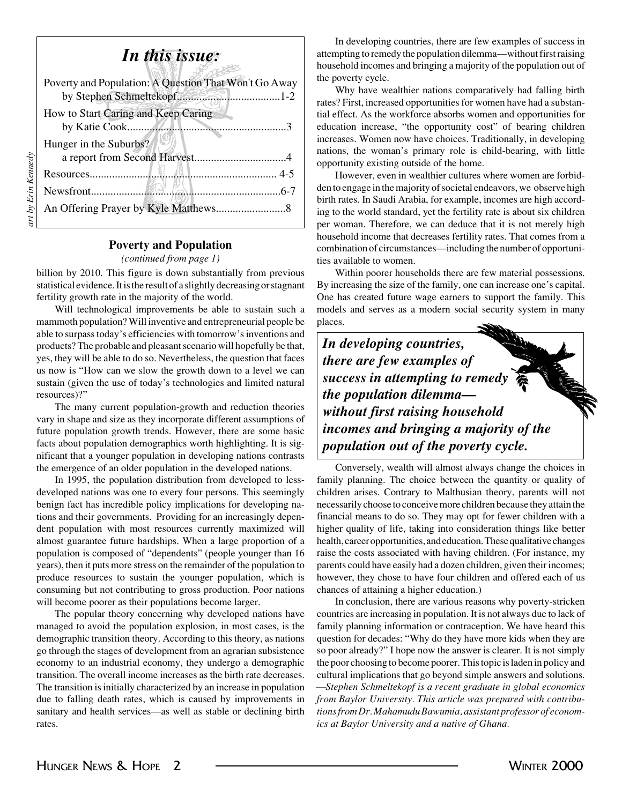## *In this issue:*

| Poverty and Population: A Question That Won't Go Away<br>by Stephen Schmeltekopf1-2 |
|-------------------------------------------------------------------------------------|
| How to Start Caring and Keep Caring                                                 |
| Hunger in the Suburbs?                                                              |
|                                                                                     |
|                                                                                     |
|                                                                                     |
|                                                                                     |

## **Poverty and Population**

#### *(continued from page 1)*

billion by 2010. This figure is down substantially from previous statistical evidence. It is the result of a slightly decreasing or stagnant fertility growth rate in the majority of the world.

Will technological improvements be able to sustain such a mammoth population? Will inventive and entrepreneurial people be able to surpass today's efficiencies with tomorrow's inventions and products? The probable and pleasant scenario will hopefully be that, yes, they will be able to do so. Nevertheless, the question that faces us now is "How can we slow the growth down to a level we can sustain (given the use of today's technologies and limited natural resources)?"

The many current population-growth and reduction theories vary in shape and size as they incorporate different assumptions of future population growth trends. However, there are some basic facts about population demographics worth highlighting. It is significant that a younger population in developing nations contrasts the emergence of an older population in the developed nations.

In 1995, the population distribution from developed to lessdeveloped nations was one to every four persons. This seemingly benign fact has incredible policy implications for developing nations and their governments. Providing for an increasingly dependent population with most resources currently maximized will almost guarantee future hardships. When a large proportion of a population is composed of "dependents" (people younger than 16 years), then it puts more stress on the remainder of the population to produce resources to sustain the younger population, which is consuming but not contributing to gross production. Poor nations will become poorer as their populations become larger.

The popular theory concerning why developed nations have managed to avoid the population explosion, in most cases, is the demographic transition theory. According to this theory, as nations go through the stages of development from an agrarian subsistence economy to an industrial economy, they undergo a demographic transition. The overall income increases as the birth rate decreases. The transition is initially characterized by an increase in population due to falling death rates, which is caused by improvements in sanitary and health services—as well as stable or declining birth rates.

In developing countries, there are few examples of success in attempting to remedy the population dilemma—without first raising household incomes and bringing a majority of the population out of the poverty cycle.

Why have wealthier nations comparatively had falling birth rates? First, increased opportunities for women have had a substantial effect. As the workforce absorbs women and opportunities for education increase, "the opportunity cost" of bearing children increases. Women now have choices. Traditionally, in developing nations, the woman's primary role is child-bearing, with little opportunity existing outside of the home.

However, even in wealthier cultures where women are forbidden to engage in the majority of societal endeavors, we observe high birth rates. In Saudi Arabia, for example, incomes are high according to the world standard, yet the fertility rate is about six children per woman. Therefore, we can deduce that it is not merely high household income that decreases fertility rates. That comes from a combination of circumstances—including the number of opportunities available to women.

Within poorer households there are few material possessions. By increasing the size of the family, one can increase one's capital. One has created future wage earners to support the family. This models and serves as a modern social security system in many places.

*In developing countries, there are few examples of success in attempting to remedy the population dilemma without first raising household incomes and bringing a majority of the population out of the poverty cycle.*

Conversely, wealth will almost always change the choices in family planning. The choice between the quantity or quality of children arises. Contrary to Malthusian theory, parents will not necessarily choose to conceive more children because they attain the financial means to do so. They may opt for fewer children with a higher quality of life, taking into consideration things like better health, career opportunities, and education. These qualitative changes raise the costs associated with having children. (For instance, my parents could have easily had a dozen children, given their incomes; however, they chose to have four children and offered each of us chances of attaining a higher education.)

In conclusion, there are various reasons why poverty-stricken countries are increasing in population. It is not always due to lack of family planning information or contraception. We have heard this question for decades: "Why do they have more kids when they are so poor already?" I hope now the answer is clearer. It is not simply the poor choosing to become poorer. This topic is laden in policy and cultural implications that go beyond simple answers and solutions. *—Stephen Schmeltekopf is a recent graduate in global economics from Baylor University. This article was prepared with contributions from Dr. Mahamudu Bawumia, assistant professor of economics at Baylor University and a native of Ghana.*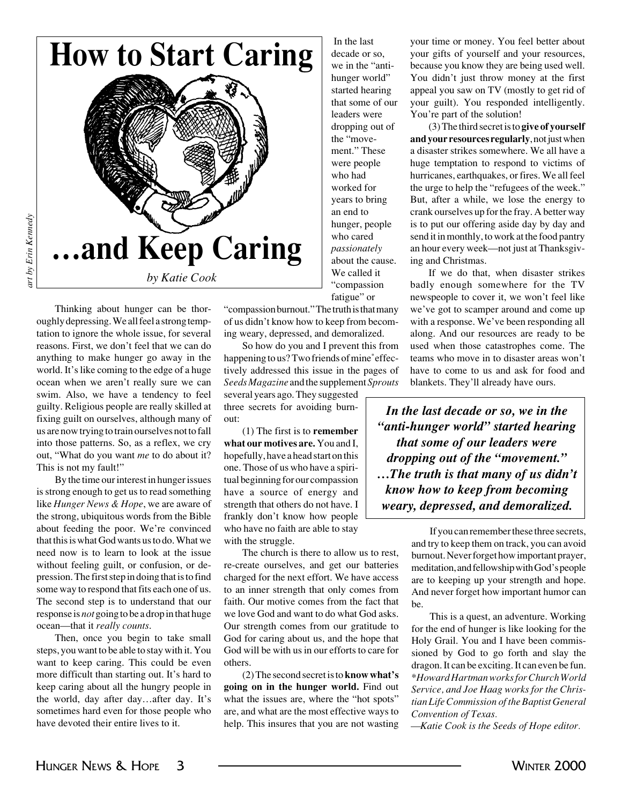



art by Erin Kennedy *art by Erin Kennedy*

> Thinking about hunger can be thoroughly depressing. We all feel a strong temptation to ignore the whole issue, for several reasons. First, we don't feel that we can do anything to make hunger go away in the world. It's like coming to the edge of a huge ocean when we aren't really sure we can swim. Also, we have a tendency to feel guilty. Religious people are really skilled at fixing guilt on ourselves, although many of us are now trying to train ourselves not to fall into those patterns. So, as a reflex, we cry out, "What do you want *me* to do about it? This is not my fault!"

> By the time our interest in hunger issues is strong enough to get us to read something like *Hunger News & Hope*, we are aware of the strong, ubiquitous words from the Bible about feeding the poor. We're convinced that this is what God wants us to do. What we need now is to learn to look at the issue without feeling guilt, or confusion, or depression. The first step in doing that is to find some way to respond that fits each one of us. The second step is to understand that our response is *not* going to be a drop in that huge ocean—that it *really counts*.

> Then, once you begin to take small steps, you want to be able to stay with it. You want to keep caring. This could be even more difficult than starting out. It's hard to keep caring about all the hungry people in the world, day after day…after day. It's sometimes hard even for those people who have devoted their entire lives to it.

fatigue" or "compassion burnout." The truth is that many of us didn't know how to keep from becoming weary, depressed, and demoralized.

In the last decade or so, we in the "antihunger world" started hearing that some of our leaders were dropping out of the "movement." These were people who had worked for years to bring an end to hunger, people who cared *passionately* about the cause. We called it "compassion

So how do you and I prevent this from happening to us? Two friends of mine\* effectively addressed this issue in the pages of *Seeds Magazine* and the supplement *Sprouts*

several years ago. They suggested three secrets for avoiding burnout:

(1) The first is to **remember what our motives are.** You and I, hopefully, have a head start on this one. Those of us who have a spiritual beginning for our compassion have a source of energy and strength that others do not have. I frankly don't know how people who have no faith are able to stay with the struggle.

The church is there to allow us to rest, re-create ourselves, and get our batteries charged for the next effort. We have access to an inner strength that only comes from faith. Our motive comes from the fact that we love God and want to do what God asks. Our strength comes from our gratitude to God for caring about us, and the hope that God will be with us in our efforts to care for others.

(2) The second secret is to **know what's going on in the hunger world.** Find out what the issues are, where the "hot spots" are, and what are the most effective ways to help. This insures that you are not wasting your time or money. You feel better about your gifts of yourself and your resources, because you know they are being used well. You didn't just throw money at the first appeal you saw on TV (mostly to get rid of your guilt). You responded intelligently. You're part of the solution!

(3) The third secret is to **give of yourself and your resources regularly**, not just when a disaster strikes somewhere. We all have a huge temptation to respond to victims of hurricanes, earthquakes, or fires. We all feel the urge to help the "refugees of the week." But, after a while, we lose the energy to crank ourselves up for the fray. A better way is to put our offering aside day by day and send it in monthly, to work at the food pantry an hour every week—not just at Thanksgiving and Christmas.

If we do that, when disaster strikes badly enough somewhere for the TV newspeople to cover it, we won't feel like we've got to scamper around and come up with a response. We've been responding all along. And our resources are ready to be used when those catastrophes come. The teams who move in to disaster areas won't have to come to us and ask for food and blankets. They'll already have ours.

*In the last decade or so, we in the "anti-hunger world" started hearing that some of our leaders were dropping out of the "movement." …The truth is that many of us didn't know how to keep from becoming weary, depressed, and demoralized.*

> If you can remember these three secrets, and try to keep them on track, you can avoid burnout. Never forget how important prayer, meditation, and fellowship with God's people are to keeping up your strength and hope. And never forget how important humor can be.

> This is a quest, an adventure. Working for the end of hunger is like looking for the Holy Grail. You and I have been commissioned by God to go forth and slay the dragon. It can be exciting. It can even be fun. \**Howard Hartman works for Church World Service, and Joe Haag works for the Christian Life Commission of the Baptist General Convention of Texas.*

*—Katie Cook is the Seeds of Hope editor.*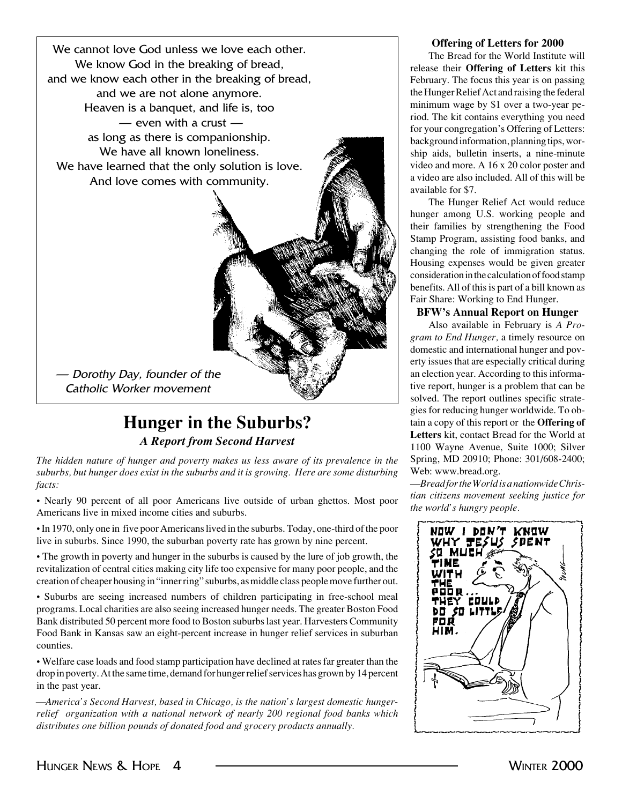

## **Hunger in the Suburbs?** *A Report from Second Harvest*

*The hidden nature of hunger and poverty makes us less aware of its prevalence in the suburbs, but hunger does exist in the suburbs and it is growing. Here are some disturbing facts:*

• Nearly 90 percent of all poor Americans live outside of urban ghettos. Most poor Americans live in mixed income cities and suburbs.

• In 1970, only one in five poor Americans lived in the suburbs. Today, one-third of the poor live in suburbs. Since 1990, the suburban poverty rate has grown by nine percent.

• The growth in poverty and hunger in the suburbs is caused by the lure of job growth, the revitalization of central cities making city life too expensive for many poor people, and the creation of cheaper housing in "inner ring" suburbs, as middle class people move further out.

• Suburbs are seeing increased numbers of children participating in free-school meal programs. Local charities are also seeing increased hunger needs. The greater Boston Food Bank distributed 50 percent more food to Boston suburbs last year. Harvesters Community Food Bank in Kansas saw an eight-percent increase in hunger relief services in suburban counties.

• Welfare case loads and food stamp participation have declined at rates far greater than the drop in poverty. At the same time, demand for hunger relief services has grown by 14 percent in the past year.

*—America's Second Harvest, based in Chicago, is the nation's largest domestic hungerrelief organization with a national network of nearly 200 regional food banks which distributes one billion pounds of donated food and grocery products annually.*

## **Offering of Letters for 2000**

The Bread for the World Institute will release their **Offering of Letters** kit this February. The focus this year is on passing the Hunger Relief Act and raising the federal minimum wage by \$1 over a two-year period. The kit contains everything you need for your congregation's Offering of Letters: background information, planning tips, worship aids, bulletin inserts, a nine-minute video and more. A 16 x 20 color poster and a video are also included. All of this will be available for \$7.

The Hunger Relief Act would reduce hunger among U.S. working people and their families by strengthening the Food Stamp Program, assisting food banks, and changing the role of immigration status. Housing expenses would be given greater consideration in the calculation of food stamp benefits. All of this is part of a bill known as Fair Share: Working to End Hunger.

## **BFW's Annual Report on Hunger**

Also available in February is *A Program to End Hunger,* a timely resource on domestic and international hunger and poverty issues that are especially critical during an election year. According to this informative report, hunger is a problem that can be solved. The report outlines specific strategies for reducing hunger worldwide. To obtain a copy of this report or the **Offering of Letters** kit, contact Bread for the World at 1100 Wayne Avenue, Suite 1000; Silver Spring, MD 20910; Phone: 301/608-2400; Web: www.bread.org.

—*Bread for the World is a nationwide Christian citizens movement seeking justice for the world's hungry people.*

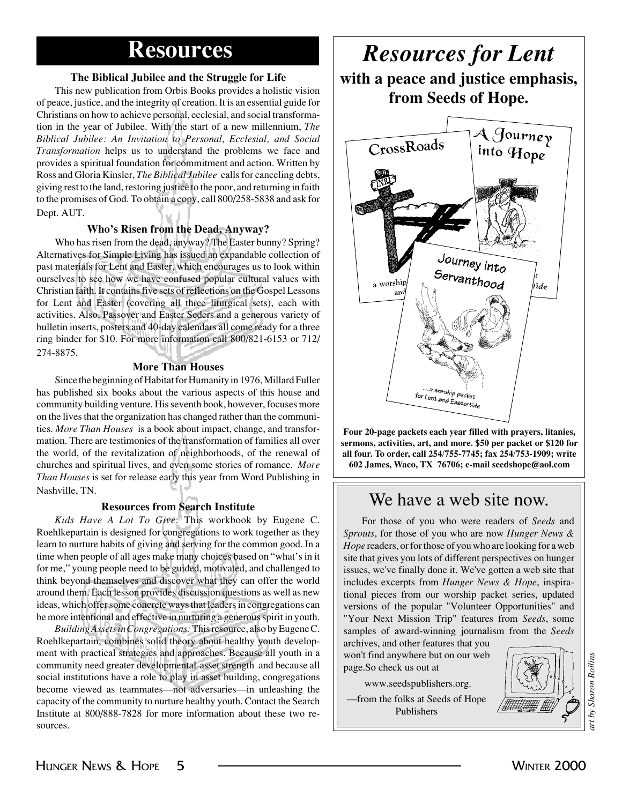## **The Biblical Jubilee and the Struggle for Life**

This new publication from Orbis Books provides a holistic vision of peace, justice, and the integrity of creation. It is an essential guide for Christians on how to achieve personal, ecclesial, and social transformation in the year of Jubilee. With the start of a new millennium, *The Biblical Jubilee: An Invitation to Personal, Ecclesial, and Social Transformation* helps us to understand the problems we face and provides a spiritual foundation for commitment and action. Written by Ross and Gloria Kinsler, *The Biblical Jubilee* calls for canceling debts, giving rest to the land, restoring justice to the poor, and returning in faith to the promises of God. To obtain a copy, call 800/258-5838 and ask for Dept. AUT.

## **Who's Risen from the Dead, Anyway?**

Who has risen from the dead, anyway? The Easter bunny? Spring? Alternatives for Simple Living has issued an expandable collection of past materials for Lent and Easter, which encourages us to look within ourselves to see how we have confused popular cultural values with Christian faith. It contains five sets of reflections on the Gospel Lessons for Lent and Easter (covering all three liturgical sets), each with activities. Also, Passover and Easter Seders and a generous variety of bulletin inserts, posters and 40-day calendars all come ready for a three ring binder for \$10. For more information call 800/821-6153 or 712/ 274-8875.

## **More Than Houses**

Since the beginning of Habitat for Humanity in 1976, Millard Fuller has published six books about the various aspects of this house and community building venture. His seventh book, however, focuses more on the lives that the organization has changed rather than the communities. *More Than Houses* is a book about impact, change, and transformation. There are testimonies of the transformation of families all over the world, of the revitalization of neighborhoods, of the renewal of churches and spiritual lives, and even some stories of romance. *More Than Houses* is set for release early this year from Word Publishing in Nashville, TN.

## **Resources from Search Institute**

*Kids Have A Lot To Give*: This workbook by Eugene C. Roehlkepartain is designed for congregations to work together as they learn to nurture habits of giving and serving for the common good. In a time when people of all ages make many choices based on "what's in it for me," young people need to be guided, motivated, and challenged to think beyond themselves and discover what they can offer the world around them. Each lesson provides discussion questions as well as new ideas, which offer some concrete ways that leaders in congregations can be more intentional and effective in nurturing a generous spirit in youth.

*Building Assets in Congregations:* This resource, also by Eugene C. Roehlkepartain, combines solid theory about healthy youth development with practical strategies and approaches. Because all youth in a community need greater developmental-asset strength and because all social institutions have a role to play in asset building, congregations become viewed as teammates—not adversaries—in unleashing the capacity of the community to nurture healthy youth. Contact the Search Institute at 800/888-7828 for more information about these two resources.

## **Resources** *Resources for Lent* **with a peace and justice emphasis, from Seeds of Hope.**



**Four 20-page packets each year filled with prayers, litanies, sermons, activities, art, and more. \$50 per packet or \$120 for all four. To order, call 254/755-7745; fax 254/753-1909; write 602 James, Waco, TX 76706; e-mail seedshope@aol.com**

## We have a web site now.

For those of you who were readers of *Seeds* and *Sprouts*, for those of you who are now *Hunger News & Hope* readers, or for those of you who are looking for a web site that gives you lots of different perspectives on hunger issues, we've finally done it. We've gotten a web site that includes excerpts from *Hunger News & Hope*, inspirational pieces from our worship packet series, updated versions of the popular "Volunteer Opportunities" and "Your Next Mission Trip" features from *Seeds*, some samples of award-winning journalism from the *Seeds*

archives, and other features that you won't find anywhere but on our web page.So check us out at

www.seedspublishers.org.

—from the folks at Seeds of Hope Publishers

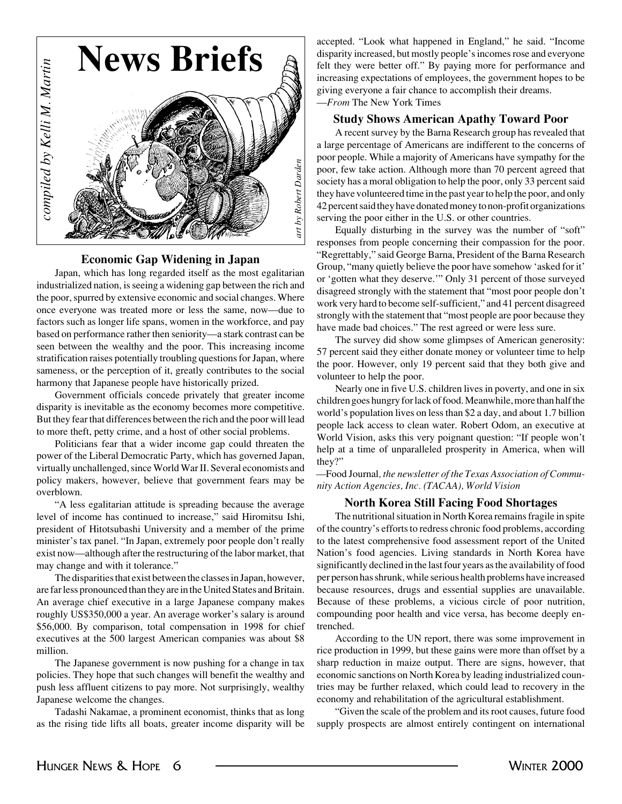

## **Economic Gap Widening in Japan**

Japan, which has long regarded itself as the most egalitarian industrialized nation, is seeing a widening gap between the rich and the poor, spurred by extensive economic and social changes. Where once everyone was treated more or less the same, now—due to factors such as longer life spans, women in the workforce, and pay based on performance rather then seniority—a stark contrast can be seen between the wealthy and the poor. This increasing income stratification raises potentially troubling questions for Japan, where sameness, or the perception of it, greatly contributes to the social harmony that Japanese people have historically prized.

Government officials concede privately that greater income disparity is inevitable as the economy becomes more competitive. But they fear that differences between the rich and the poor will lead to more theft, petty crime, and a host of other social problems.

Politicians fear that a wider income gap could threaten the power of the Liberal Democratic Party, which has governed Japan, virtually unchallenged, since World War II. Several economists and policy makers, however, believe that government fears may be overblown.

"A less egalitarian attitude is spreading because the average level of income has continued to increase," said Hiromitsu Ishi, president of Hitotsubashi University and a member of the prime minister's tax panel. "In Japan, extremely poor people don't really exist now—although after the restructuring of the labor market, that may change and with it tolerance."

The disparities that exist between the classes in Japan, however, are far less pronounced than they are in the United States and Britain. An average chief executive in a large Japanese company makes roughly US\$350,000 a year. An average worker's salary is around \$56,000. By comparison, total compensation in 1998 for chief executives at the 500 largest American companies was about \$8 million.

The Japanese government is now pushing for a change in tax policies. They hope that such changes will benefit the wealthy and push less affluent citizens to pay more. Not surprisingly, wealthy Japanese welcome the changes.

Tadashi Nakamae, a prominent economist, thinks that as long as the rising tide lifts all boats, greater income disparity will be accepted. "Look what happened in England," he said. "Income disparity increased, but mostly people's incomes rose and everyone felt they were better off." By paying more for performance and increasing expectations of employees, the government hopes to be giving everyone a fair chance to accomplish their dreams. —*From* The New York Times

## **Study Shows American Apathy Toward Poor**

A recent survey by the Barna Research group has revealed that a large percentage of Americans are indifferent to the concerns of poor people. While a majority of Americans have sympathy for the poor, few take action. Although more than 70 percent agreed that society has a moral obligation to help the poor, only 33 percent said they have volunteered time in the past year to help the poor, and only 42 percent said they have donated money to non-profit organizations serving the poor either in the U.S. or other countries.

Equally disturbing in the survey was the number of "soft" responses from people concerning their compassion for the poor. "Regrettably," said George Barna, President of the Barna Research Group, "many quietly believe the poor have somehow 'asked for it' or 'gotten what they deserve.'" Only 31 percent of those surveyed disagreed strongly with the statement that "most poor people don't work very hard to become self-sufficient," and 41 percent disagreed strongly with the statement that "most people are poor because they have made bad choices." The rest agreed or were less sure.

The survey did show some glimpses of American generosity: 57 percent said they either donate money or volunteer time to help the poor. However, only 19 percent said that they both give and volunteer to help the poor.

Nearly one in five U.S. children lives in poverty, and one in six children goes hungry for lack of food. Meanwhile, more than half the world's population lives on less than \$2 a day, and about 1.7 billion people lack access to clean water. Robert Odom, an executive at World Vision, asks this very poignant question: "If people won't help at a time of unparalleled prosperity in America, when will they?"

*—*Food Journal*, the newsletter of the Texas Association of Community Action Agencies, Inc. (TACAA), World Vision*

### **North Korea Still Facing Food Shortages**

The nutritional situation in North Korea remains fragile in spite of the country's efforts to redress chronic food problems, according to the latest comprehensive food assessment report of the United Nation's food agencies. Living standards in North Korea have significantly declined in the last four years as the availability of food per person has shrunk, while serious health problems have increased because resources, drugs and essential supplies are unavailable. Because of these problems, a vicious circle of poor nutrition, compounding poor health and vice versa, has become deeply entrenched.

According to the UN report, there was some improvement in rice production in 1999, but these gains were more than offset by a sharp reduction in maize output. There are signs, however, that economic sanctions on North Korea by leading industrialized countries may be further relaxed, which could lead to recovery in the economy and rehabilitation of the agricultural establishment.

"Given the scale of the problem and its root causes, future food supply prospects are almost entirely contingent on international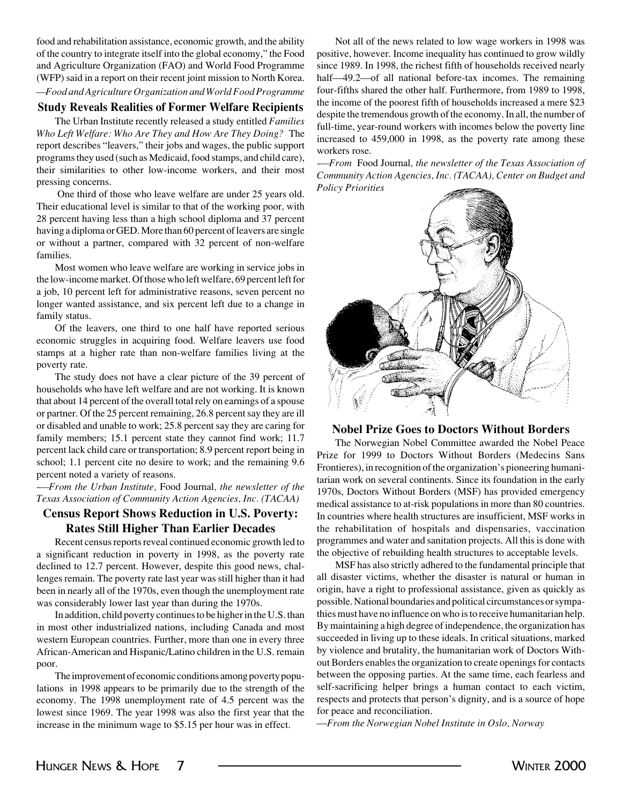food and rehabilitation assistance, economic growth, and the ability of the country to integrate itself into the global economy," the Food and Agriculture Organization (FAO) and World Food Programme (WFP) said in a report on their recent joint mission to North Korea. *—Food and Agriculture Organization and World Food Programme*

## **Study Reveals Realities of Former Welfare Recipients**

The Urban Institute recently released a study entitled *Families Who Left Welfare: Who Are They and How Are They Doing?* The report describes "leavers," their jobs and wages, the public support programs they used (such as Medicaid, food stamps, and child care), their similarities to other low-income workers, and their most pressing concerns.

 One third of those who leave welfare are under 25 years old. Their educational level is similar to that of the working poor, with 28 percent having less than a high school diploma and 37 percent having a diploma or GED. More than 60 percent of leavers are single or without a partner, compared with 32 percent of non-welfare families.

Most women who leave welfare are working in service jobs in the low-income market. Of those who left welfare, 69 percent left for a job, 10 percent left for administrative reasons, seven percent no longer wanted assistance, and six percent left due to a change in family status.

Of the leavers, one third to one half have reported serious economic struggles in acquiring food. Welfare leavers use food stamps at a higher rate than non-welfare families living at the poverty rate.

The study does not have a clear picture of the 39 percent of households who have left welfare and are not working. It is known that about 14 percent of the overall total rely on earnings of a spouse or partner. Of the 25 percent remaining, 26.8 percent say they are ill or disabled and unable to work; 25.8 percent say they are caring for family members; 15.1 percent state they cannot find work; 11.7 percent lack child care or transportation; 8.9 percent report being in school; 1.1 percent cite no desire to work; and the remaining 9.6 percent noted a variety of reasons.

*-—From the Urban Institute,* Food Journal*, the newsletter of the Texas Association of Community Action Agencies, Inc. (TACAA)*

## **Census Report Shows Reduction in U.S. Poverty: Rates Still Higher Than Earlier Decades**

Recent census reports reveal continued economic growth led to a significant reduction in poverty in 1998, as the poverty rate declined to 12.7 percent. However, despite this good news, challenges remain. The poverty rate last year was still higher than it had been in nearly all of the 1970s, even though the unemployment rate was considerably lower last year than during the 1970s.

In addition, child poverty continues to be higher in the U.S. than in most other industrialized nations, including Canada and most western European countries. Further, more than one in every three African-American and Hispanic/Latino children in the U.S. remain poor.

The improvement of economic conditions among poverty populations in 1998 appears to be primarily due to the strength of the economy. The 1998 unemployment rate of 4.5 percent was the lowest since 1969. The year 1998 was also the first year that the increase in the minimum wage to \$5.15 per hour was in effect.

Not all of the news related to low wage workers in 1998 was positive, however. Income inequality has continued to grow wildly since 1989. In 1998, the richest fifth of households received nearly half—49.2—of all national before-tax incomes. The remaining four-fifths shared the other half. Furthermore, from 1989 to 1998, the income of the poorest fifth of households increased a mere \$23 despite the tremendous growth of the economy. In all, the number of full-time, year-round workers with incomes below the poverty line increased to 459,000 in 1998, as the poverty rate among these workers rose.

*-—From* Food Journal*, the newsletter of the Texas Association of Community Action Agencies, Inc. (TACAA), Center on Budget and Policy Priorities*



## **Nobel Prize Goes to Doctors Without Borders**

The Norwegian Nobel Committee awarded the Nobel Peace Prize for 1999 to Doctors Without Borders (Medecins Sans Frontieres), in recognition of the organization's pioneering humanitarian work on several continents. Since its foundation in the early 1970s, Doctors Without Borders (MSF) has provided emergency medical assistance to at-risk populations in more than 80 countries. In countries where health structures are insufficient, MSF works in the rehabilitation of hospitals and dispensaries, vaccination programmes and water and sanitation projects. All this is done with the objective of rebuilding health structures to acceptable levels.

MSF has also strictly adhered to the fundamental principle that all disaster victims, whether the disaster is natural or human in origin, have a right to professional assistance, given as quickly as possible. National boundaries and political circumstances or sympathies must have no influence on who is to receive humanitarian help. By maintaining a high degree of independence, the organization has succeeded in living up to these ideals. In critical situations, marked by violence and brutality, the humanitarian work of Doctors Without Borders enables the organization to create openings for contacts between the opposing parties. At the same time, each fearless and self-sacrificing helper brings a human contact to each victim, respects and protects that person's dignity, and is a source of hope for peace and reconciliation.

—*From the Norwegian Nobel Institute in Oslo, Norway*